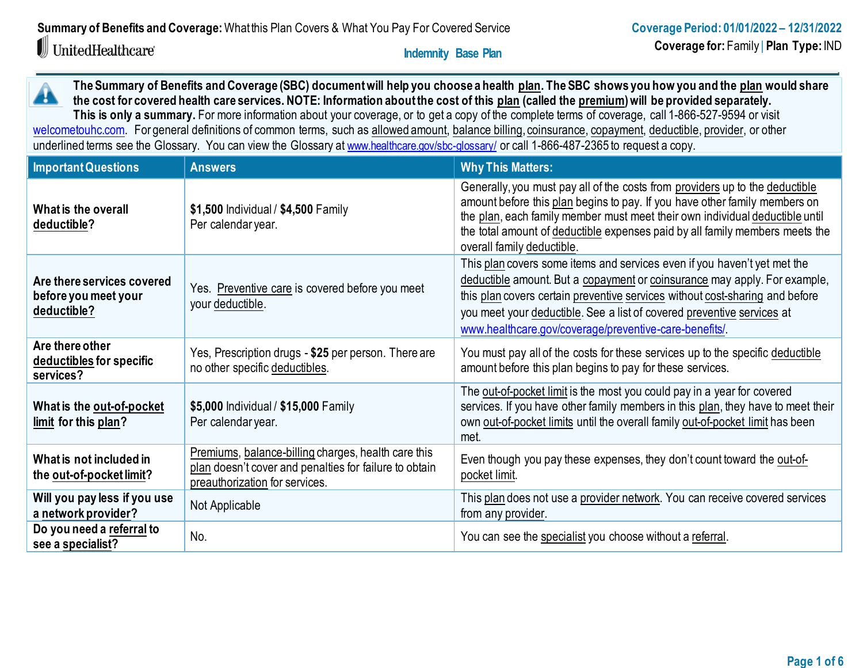# UnitedHealthcare®

 **Indemnity Base Plan**

**The Summary of Benefits and Coverage (SBC) document will help you choose a health [plan.](https://www.healthcare.gov/sbc-glossary/#plan) The SBC shows you how you and th[e plan](https://www.healthcare.gov/sbc-glossary/#plan) would share**  A **the cost for covered health care services. NOTE: Information about the cost of thi[s plan](https://www.healthcare.gov/sbc-glossary/#plan) (called th[e premium\)](https://www.healthcare.gov/sbc-glossary/#premium) will be provided separately.** This is only a summary. For more information about your coverage, or to get a copy of the complete terms of coverage, call 1-866-527-9594 or visit

[welcometouhc.com.](http://www.welcometouhc.com/) For general definitions of common terms, such as [allowed amount,](https://www.healthcare.gov/sbc-glossary/#allowed-amount) [balance billing](https://www.healthcare.gov/sbc-glossary/#balance-billing)[, coinsurance,](https://www.healthcare.gov/sbc-glossary/#coinsurance) [copayment,](https://www.healthcare.gov/sbc-glossary/#copayment) [deductible,](https://www.healthcare.gov/sbc-glossary/#deductible) [provider,](https://www.healthcare.gov/sbc-glossary/#provider) or other underlined terms see the Glossary. You can view the Glossary at [www.healthcare.gov/sbc-glossary/](https://www.healthcare.gov/sbc-glossary/) or call 1-866-487-2365 to request a copy.

| <b>Important Questions</b>                                        | <b>Answers</b>                                                                                                                                  | <b>Why This Matters:</b>                                                                                                                                                                                                                                                                                                                                                 |
|-------------------------------------------------------------------|-------------------------------------------------------------------------------------------------------------------------------------------------|--------------------------------------------------------------------------------------------------------------------------------------------------------------------------------------------------------------------------------------------------------------------------------------------------------------------------------------------------------------------------|
| What is the overall<br>deductible?                                | \$1,500 Individual / \$4,500 Family<br>Per calendar year.                                                                                       | Generally, you must pay all of the costs from providers up to the deductible<br>amount before this plan begins to pay. If you have other family members on<br>the plan, each family member must meet their own individual deductible until<br>the total amount of deductible expenses paid by all family members meets the<br>overall family deductible.                 |
| Are there services covered<br>before you meet your<br>deductible? | Yes. Preventive care is covered before you meet<br>your deductible.                                                                             | This plan covers some items and services even if you haven't yet met the<br>deductible amount. But a copayment or coinsurance may apply. For example,<br>this plan covers certain preventive services without cost-sharing and before<br>you meet your deductible. See a list of covered preventive services at<br>www.healthcare.gov/coverage/preventive-care-benefits/ |
| Are there other<br>deductibles for specific<br>services?          | Yes, Prescription drugs - \$25 per person. There are<br>no other specific deductibles.                                                          | You must pay all of the costs for these services up to the specific deductible<br>amount before this plan begins to pay for these services.                                                                                                                                                                                                                              |
| What is the out-of-pocket<br>limit for this plan?                 | \$5,000 Individual / \$15,000 Family<br>Per calendar year.                                                                                      | The out-of-pocket limit is the most you could pay in a year for covered<br>services. If you have other family members in this plan, they have to meet their<br>own out-of-pocket limits until the overall family out-of-pocket limit has been<br>met.                                                                                                                    |
| What is not included in<br>the out-of-pocket limit?               | Premiums, balance-billing charges, health care this<br>plan doesn't cover and penalties for failure to obtain<br>preauthorization for services. | Even though you pay these expenses, they don't count toward the out-of-<br>pocket limit.                                                                                                                                                                                                                                                                                 |
| Will you pay less if you use<br>a network provider?               | Not Applicable                                                                                                                                  | This plan does not use a provider network. You can receive covered services<br>from any provider.                                                                                                                                                                                                                                                                        |
| Do you need a referral to<br>see a specialist?                    | No.                                                                                                                                             | You can see the specialist you choose without a referral.                                                                                                                                                                                                                                                                                                                |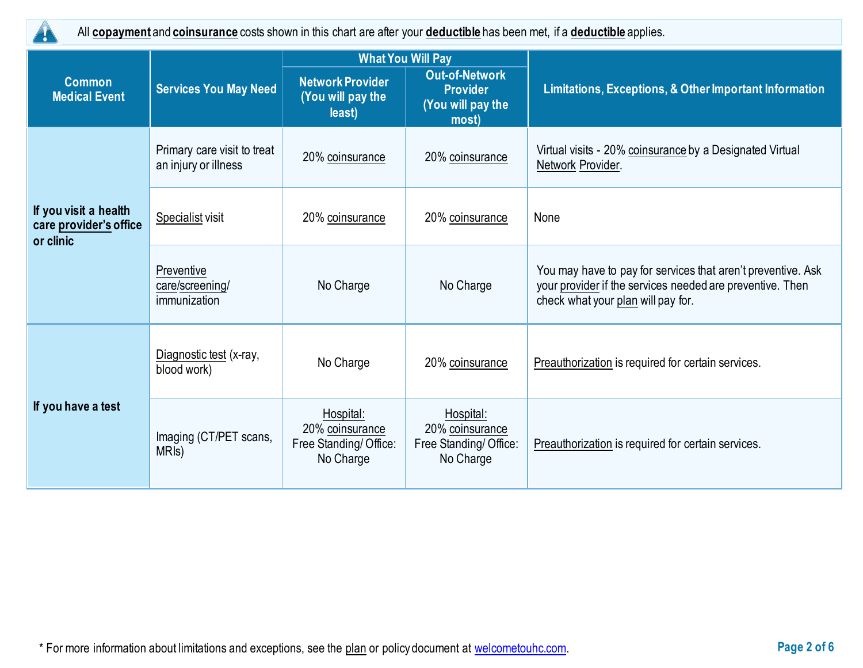

All **[copayment](https://www.healthcare.gov/sbc-glossary/#copayment)** and **[coinsurance](https://www.healthcare.gov/sbc-glossary/#coinsurance)** costs shown in this chart are after your **[deductible](https://www.healthcare.gov/sbc-glossary/#deductible)** has been met, if a **[deductible](https://www.healthcare.gov/sbc-glossary/#deductible)** applies.

|                                                              |                                                                                                                    | <b>What You Will Pay</b>                                           |                                                                        |                                                                                                                                                                 |  |
|--------------------------------------------------------------|--------------------------------------------------------------------------------------------------------------------|--------------------------------------------------------------------|------------------------------------------------------------------------|-----------------------------------------------------------------------------------------------------------------------------------------------------------------|--|
| <b>Common</b><br><b>Medical Event</b>                        | <b>Services You May Need</b>                                                                                       | <b>Network Provider</b><br>(You will pay the<br>least)             | <b>Out-of-Network</b><br><b>Provider</b><br>(You will pay the<br>most) | Limitations, Exceptions, & Other Important Information                                                                                                          |  |
|                                                              | Primary care visit to treat<br>an injury or illness                                                                | 20% coinsurance                                                    | 20% coinsurance                                                        | Virtual visits - 20% coinsurance by a Designated Virtual<br>Network Provider.                                                                                   |  |
| If you visit a health<br>care provider's office<br>or clinic | Specialist visit                                                                                                   | 20% coinsurance                                                    | 20% coinsurance                                                        | None                                                                                                                                                            |  |
|                                                              | Preventive<br>care/screening/<br>immunization                                                                      | No Charge                                                          | No Charge                                                              | You may have to pay for services that aren't preventive. Ask<br>your provider if the services needed are preventive. Then<br>check what your plan will pay for. |  |
|                                                              | Diagnostic test (x-ray,<br>blood work)                                                                             | No Charge                                                          | 20% coinsurance                                                        | Preauthorization is required for certain services.                                                                                                              |  |
| If you have a test                                           | Hospital:<br>20% coinsurance<br>Imaging (CT/PET scans,<br>Free Standing/Office:<br>MRI <sub>s</sub> )<br>No Charge | Hospital:<br>20% coinsurance<br>Free Standing/Office:<br>No Charge | Preauthorization is required for certain services.                     |                                                                                                                                                                 |  |

\* For more information about limitations and exceptions, see the plan or policy document at [welcometouhc.com.](http://www.welcometouhc.com/) **Page 2 of 6**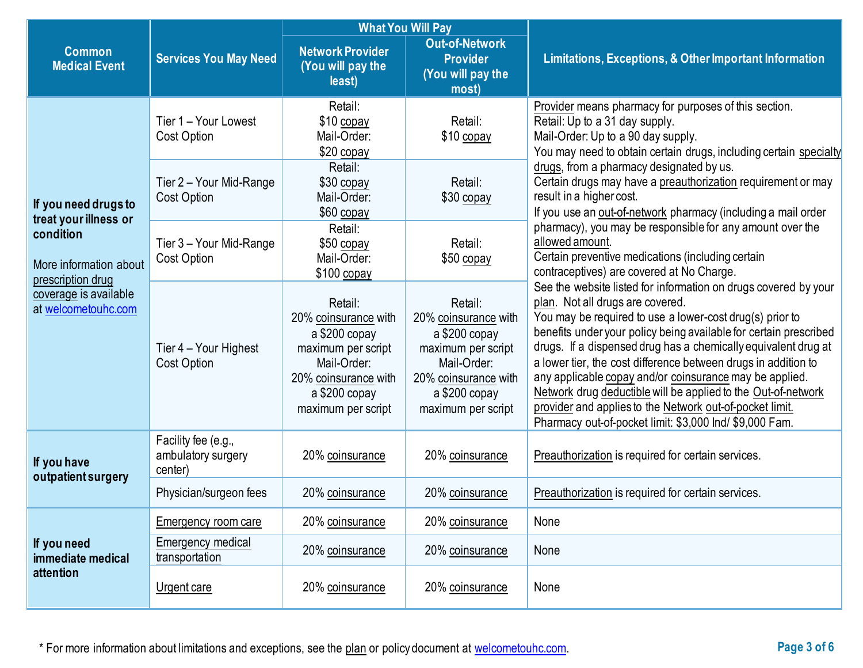|                                                          |                                                      | <b>What You Will Pay</b>                                                                                                                            |                                                                                                                                                     |                                                                                                                                                                                                                                                                                                                                                                                                                                                                                                                                                                                                                             |  |  |
|----------------------------------------------------------|------------------------------------------------------|-----------------------------------------------------------------------------------------------------------------------------------------------------|-----------------------------------------------------------------------------------------------------------------------------------------------------|-----------------------------------------------------------------------------------------------------------------------------------------------------------------------------------------------------------------------------------------------------------------------------------------------------------------------------------------------------------------------------------------------------------------------------------------------------------------------------------------------------------------------------------------------------------------------------------------------------------------------------|--|--|
| <b>Common</b><br><b>Medical Event</b>                    | <b>Services You May Need</b>                         | <b>Network Provider</b><br>(You will pay the<br>least)                                                                                              | <b>Out-of-Network</b><br><b>Provider</b><br>(You will pay the<br>most)                                                                              | Limitations, Exceptions, & Other Important Information                                                                                                                                                                                                                                                                                                                                                                                                                                                                                                                                                                      |  |  |
|                                                          | Tier 1 - Your Lowest<br><b>Cost Option</b>           | Retail:<br>$$10$ copay<br>Mail-Order:<br>$$20$ copay                                                                                                | Retail:<br>\$10 copay                                                                                                                               | Provider means pharmacy for purposes of this section.<br>Retail: Up to a 31 day supply.<br>Mail-Order: Up to a 90 day supply.<br>You may need to obtain certain drugs, including certain specialty                                                                                                                                                                                                                                                                                                                                                                                                                          |  |  |
| If you need drugs to<br>treat your illness or            | Tier 2 - Your Mid-Range<br>Cost Option               | Retail:<br>\$30 copay<br>Mail-Order:<br>$$60$ copay                                                                                                 | Retail:<br>\$30 copay                                                                                                                               | drugs, from a pharmacy designated by us.<br>Certain drugs may have a preauthorization requirement or may<br>result in a higher cost.<br>If you use an out-of-network pharmacy (including a mail order                                                                                                                                                                                                                                                                                                                                                                                                                       |  |  |
| condition<br>More information about<br>prescription drug | Tier 3 - Your Mid-Range<br><b>Cost Option</b>        | Retail:<br>\$50 copay<br>Mail-Order:<br>\$100 copay                                                                                                 | Retail:<br>\$50 copay                                                                                                                               | pharmacy), you may be responsible for any amount over the<br>allowed amount.<br>Certain preventive medications (including certain<br>contraceptives) are covered at No Charge.                                                                                                                                                                                                                                                                                                                                                                                                                                              |  |  |
| coverage is available<br>at welcometouhc.com             | Tier 4 – Your Highest<br>Cost Option                 | Retail:<br>20% coinsurance with<br>a \$200 copay<br>maximum per script<br>Mail-Order:<br>20% coinsurance with<br>a \$200 copy<br>maximum per script | Retail:<br>20% coinsurance with<br>a \$200 copay<br>maximum per script<br>Mail-Order:<br>20% coinsurance with<br>a \$200 copy<br>maximum per script | See the website listed for information on drugs covered by your<br>plan. Not all drugs are covered.<br>You may be required to use a lower-cost drug(s) prior to<br>benefits under your policy being available for certain prescribed<br>drugs. If a dispensed drug has a chemically equivalent drug at<br>a lower tier, the cost difference between drugs in addition to<br>any applicable copay and/or coinsurance may be applied.<br>Network drug deductible will be applied to the Out-of-network<br>provider and applies to the Network out-of-pocket limit.<br>Pharmacy out-of-pocket limit: \$3,000 lnd/ \$9,000 Fam. |  |  |
| If you have<br>outpatient surgery                        | Facility fee (e.g.,<br>ambulatory surgery<br>center) | 20% coinsurance                                                                                                                                     | 20% coinsurance                                                                                                                                     | Preauthorization is required for certain services.                                                                                                                                                                                                                                                                                                                                                                                                                                                                                                                                                                          |  |  |
|                                                          | Physician/surgeon fees                               | 20% coinsurance                                                                                                                                     | 20% coinsurance                                                                                                                                     | Preauthorization is required for certain services.                                                                                                                                                                                                                                                                                                                                                                                                                                                                                                                                                                          |  |  |
|                                                          | Emergency room care                                  | 20% coinsurance                                                                                                                                     | 20% coinsurance                                                                                                                                     | None                                                                                                                                                                                                                                                                                                                                                                                                                                                                                                                                                                                                                        |  |  |
| If you need<br>immediate medical                         | Emergency medical<br>transportation                  | 20% coinsurance                                                                                                                                     | 20% coinsurance                                                                                                                                     | None                                                                                                                                                                                                                                                                                                                                                                                                                                                                                                                                                                                                                        |  |  |
| attention                                                | Urgent care                                          | 20% coinsurance                                                                                                                                     | 20% coinsurance                                                                                                                                     | None                                                                                                                                                                                                                                                                                                                                                                                                                                                                                                                                                                                                                        |  |  |

\* For more information about limitations and exceptions, see the plan or policy document at [welcometouhc.com.](http://www.welcometouhc.com/) **Page 3 of 6**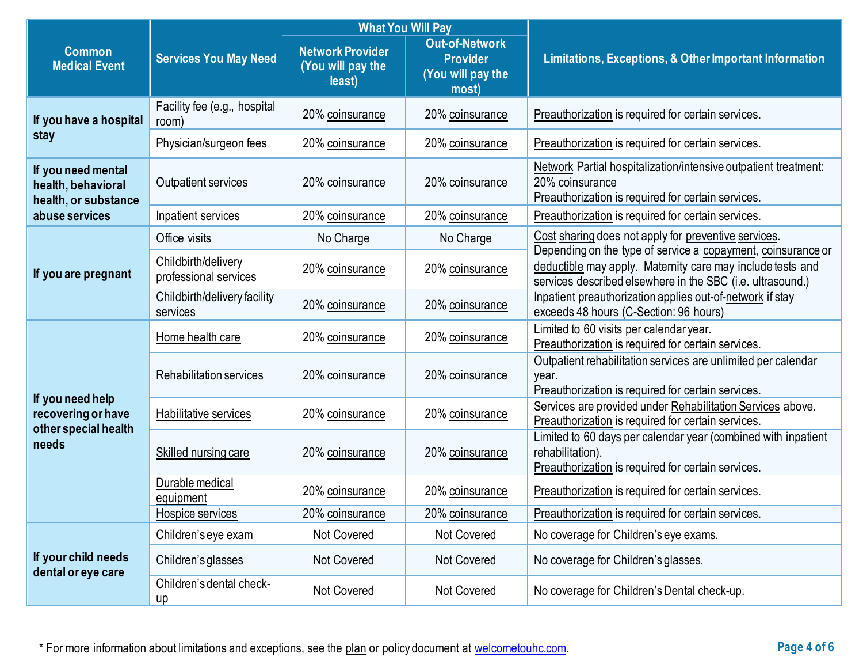|                                                                  |                                              | <b>What You Will Pay</b>                               |                                                                        |                                                                                                                                                                                          |  |
|------------------------------------------------------------------|----------------------------------------------|--------------------------------------------------------|------------------------------------------------------------------------|------------------------------------------------------------------------------------------------------------------------------------------------------------------------------------------|--|
| <b>Common</b><br><b>Medical Event</b>                            | <b>Services You May Need</b>                 | <b>Network Provider</b><br>(You will pay the<br>least) | <b>Out-of-Network</b><br><b>Provider</b><br>(You will pay the<br>most) | Limitations, Exceptions, & Other Important Information                                                                                                                                   |  |
| If you have a hospital                                           | Facility fee (e.g., hospital<br>room)        | 20% coinsurance                                        | 20% coinsurance                                                        | Preauthorization is required for certain services.                                                                                                                                       |  |
| stay                                                             | Physician/surgeon fees                       | 20% coinsurance                                        | 20% coinsurance                                                        | Preauthorization is required for certain services.                                                                                                                                       |  |
| If you need mental<br>health, behavioral<br>health, or substance | Outpatient services                          | 20% coinsurance                                        | 20% coinsurance                                                        | Network Partial hospitalization/intensive outpatient treatment:<br>20% coinsurance<br>Preauthorization is required for certain services.                                                 |  |
| abuse services                                                   | Inpatient services                           | 20% coinsurance                                        | 20% coinsurance                                                        | Preauthorization is required for certain services.                                                                                                                                       |  |
|                                                                  | Office visits                                | No Charge                                              | No Charge                                                              | Cost sharing does not apply for preventive services.                                                                                                                                     |  |
| If you are pregnant                                              | Childbirth/delivery<br>professional services | 20% coinsurance                                        | 20% coinsurance                                                        | Depending on the type of service a copayment, coinsurance or<br>deductible may apply. Maternity care may include tests and<br>services described elsewhere in the SBC (i.e. ultrasound.) |  |
|                                                                  | Childbirth/delivery facility<br>services     | 20% coinsurance                                        | 20% coinsurance                                                        | Inpatient preauthorization applies out-of-network if stay<br>exceeds 48 hours (C-Section: 96 hours)                                                                                      |  |
|                                                                  | Home health care                             | 20% coinsurance                                        | 20% coinsurance                                                        | Limited to 60 visits per calendar year.<br>Preauthorization is required for certain services.                                                                                            |  |
|                                                                  | Rehabilitation services                      | 20% coinsurance                                        | 20% coinsurance                                                        | Outpatient rehabilitation services are unlimited per calendar<br>year.<br>Preauthorization is required for certain services.                                                             |  |
| If you need help<br>recovering or have<br>other special health   | Habilitative services                        | 20% coinsurance                                        | 20% coinsurance                                                        | Services are provided under Rehabilitation Services above.<br>Preauthorization is required for certain services.                                                                         |  |
| needs                                                            | Skilled nursing care                         | 20% coinsurance                                        | 20% coinsurance                                                        | Limited to 60 days per calendar year (combined with inpatient<br>rehabilitation).<br>Preauthorization is required for certain services.                                                  |  |
|                                                                  | Durable medical<br>equipment                 | 20% coinsurance                                        | 20% coinsurance                                                        | Preauthorization is required for certain services.                                                                                                                                       |  |
|                                                                  | Hospice services                             | 20% coinsurance                                        | 20% coinsurance                                                        | Preauthorization is required for certain services.                                                                                                                                       |  |
|                                                                  | Children's eye exam                          | Not Covered                                            | Not Covered                                                            | No coverage for Children's eye exams.                                                                                                                                                    |  |
| If your child needs<br>dental or eye care                        | Children's glasses                           | <b>Not Covered</b>                                     | Not Covered                                                            | No coverage for Children's glasses.                                                                                                                                                      |  |
|                                                                  | Children's dental check-<br>up               | Not Covered                                            | Not Covered                                                            | No coverage for Children's Dental check-up.                                                                                                                                              |  |

\* For more information about limitations and exceptions, see the plan or policy document at [welcometouhc.com.](http://www.welcometouhc.com/) **Page 4 of 6**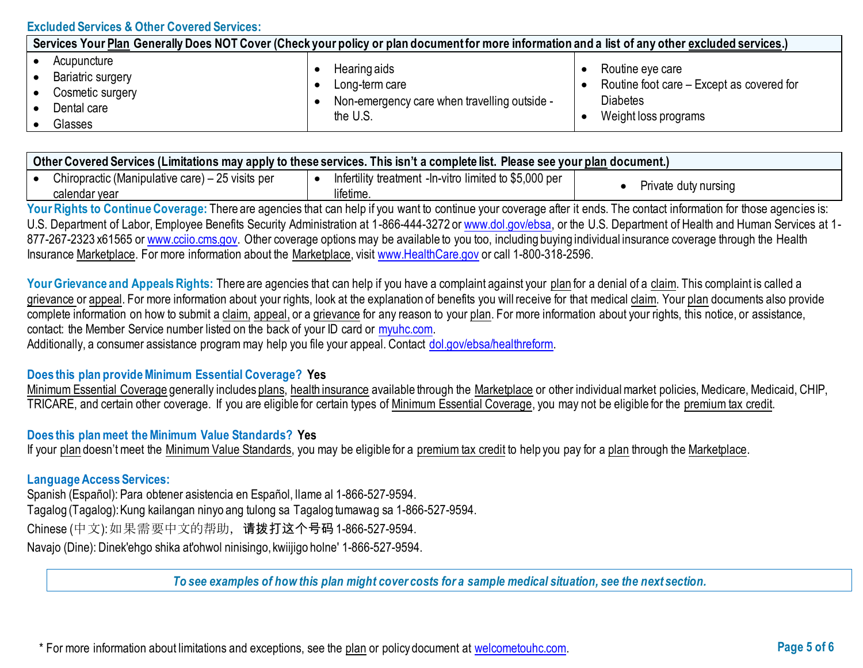### **Excluded Services & Other Covered Services:**

| Services Your Plan Generally Does NOT Cover (Check your policy or plan document for more information and a list of any other excluded services.) |                                                                                            |                                                                                                          |  |  |  |  |
|--------------------------------------------------------------------------------------------------------------------------------------------------|--------------------------------------------------------------------------------------------|----------------------------------------------------------------------------------------------------------|--|--|--|--|
| Acupuncture<br>Bariatric surgery<br>Cosmetic surgery<br>Dental care<br>Glasses                                                                   | Hearing aids<br>Long-term care<br>Non-emergency care when travelling outside -<br>the U.S. | Routine eye care<br>Routine foot care – Except as covered for<br><b>Diabetes</b><br>Weight loss programs |  |  |  |  |

| ∣ Other Covered Services (Limitations may apply to these services. This isn't a complete list. Please see your <u>plan</u> document.) |  |                                                         |  |                      |  |
|---------------------------------------------------------------------------------------------------------------------------------------|--|---------------------------------------------------------|--|----------------------|--|
| Chiropractic (Manipulative care) – 25 visits per                                                                                      |  | Infertility treatment - In-vitro limited to \$5,000 per |  |                      |  |
| calendar year                                                                                                                         |  | lifetime.                                               |  | Private duty nursing |  |

Your Rights to Continue Coverage: There are agencies that can help if you want to continue your coverage after it ends. The contact information for those agencies is: U.S. Department of Labor, Employee Benefits Security Administration at 1-866-444-3272 or [www.dol.gov/ebsa,](http://www.dol.gov/ebsa) or the U.S. Department of Health and Human Services at 1-877-267-2323 x61565 or [www.cciio.cms.gov.](http://www.cciio.cms.gov/) Other coverage options may be available to you too, including buying individual insurance coverage through the Health Insurance [Marketplace.](https://www.healthcare.gov/sbc-glossary/#marketplace) For more information about the [Marketplace,](https://www.healthcare.gov/sbc-glossary/#marketplace) visit [www.HealthCare.gov](http://www.healthcare.gov/) or call 1-800-318-2596.

Your Grievance and Appeals Rights: There are agencies that can help if you have a complaint against your [plan](https://www.healthcare.gov/sbc-glossary/#plan) for a denial of a [claim.](https://www.healthcare.gov/sbc-glossary/#claim) This complaint is called a [grievance](https://www.healthcare.gov/sbc-glossary/#grievance) or [appeal.](https://www.healthcare.gov/sbc-glossary/#appeal) For more information about your rights, look at the explanation of benefits you will receive for that medical [claim.](https://www.healthcare.gov/sbc-glossary/#claim) Your [plan](https://www.healthcare.gov/sbc-glossary/#plan) documents also provide complete information on how to submit a [claim,](https://www.healthcare.gov/sbc-glossary/#claim) [appeal,](https://www.healthcare.gov/sbc-glossary/#appeal) or a [grievance](https://www.healthcare.gov/sbc-glossary/#grievance) for any reason to you[r plan.](https://www.healthcare.gov/sbc-glossary/#plan) For more information about your rights, this notice, or assistance, contact: the Member Service number listed on the back of your ID card or [myuhc.com.](http://www.myuhc.com/) 

Additionally, a consumer assistance program may help you file your appeal. Contact [dol.gov/ebsa/healthreform.](https://www.dol.gov/ebsa/healthreform)

#### **Does this plan provide Minimum Essential Coverage? Yes**

Minimum Essential Coverage generally includes plans, health insurance available through the Marketplace or other individual market policies, Medicare, Medicaid, CHIP, TRICARE, and certain other coverage. If you are eligible for certain types of Minimum Essential Coverage, you may not be eligible for the premium tax credit.

#### **Does this plan meet the Minimum Value Standards? Yes**

If your [plan](https://www.healthcare.gov/sbc-glossary/#plan) doesn't meet the [Minimum Value Standards,](https://www.healthcare.gov/sbc-glossary/#minimum-value-standard) you may be eligible for a [premium tax credit](https://www.healthcare.gov/sbc-glossary/#premium-tax-credits) to help you pay for a [plan](https://www.healthcare.gov/sbc-glossary/#plan) through the [Marketplace.](https://www.healthcare.gov/sbc-glossary/#marketplace)

#### **Language Access Services:**

Spanish (Español): Para obtener asistencia en Español, llame al 1-866-527-9594. Tagalog (Tagalog): Kung kailangan ninyo ang tulong sa Tagalog tumawag sa 1-866-527-9594. Chinese (中文): 如果需要中文的帮助,请拨打这个号码1-866-527-9594. Navajo (Dine): Dinek'ehgo shika at'ohwol ninisingo, kwiijigo holne' 1-866-527-9594.

*To see examples of how this plan might cover costs for a sample medical situation, see the next section.*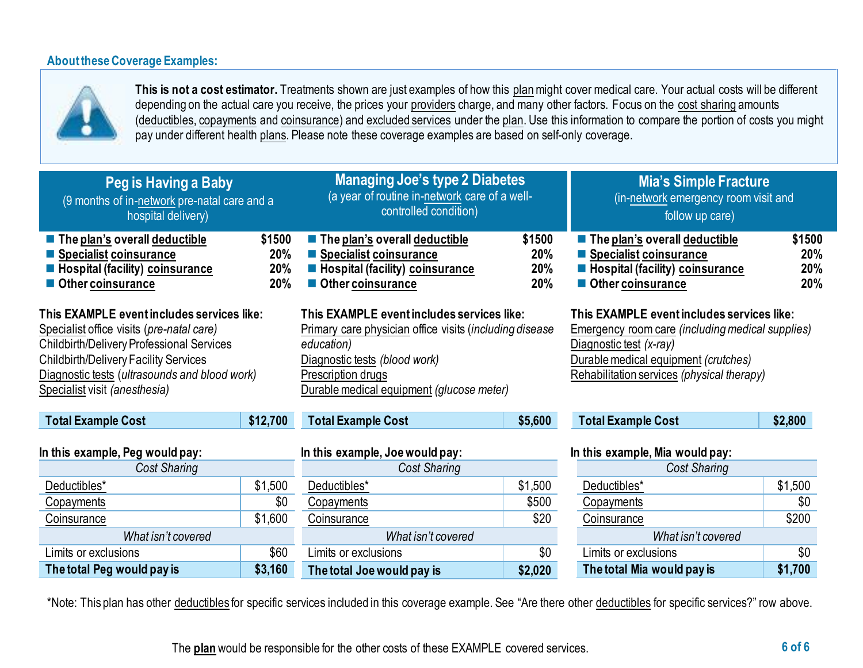## **About these Coverage Examples:**



**This is not a cost estimator.** Treatments shown are just examples of how this [plan](https://www.healthcare.gov/sbc-glossary/#plan)might cover medical care. Your actual costs will be different depending on the actual care you receive, the prices your [providers](https://www.healthcare.gov/sbc-glossary/#provider) charge, and many other factors. Focus on the [cost sharing](https://www.healthcare.gov/sbc-glossary/#cost-sharing) amounts [\(deductibles,](https://www.healthcare.gov/sbc-glossary/#deductible) [copayments](https://www.healthcare.gov/sbc-glossary/#copayment) an[d coinsurance\)](https://www.healthcare.gov/sbc-glossary/#coinsurance) and [excluded services](https://www.healthcare.gov/sbc-glossary/#excluded-services) under the [plan.](https://www.healthcare.gov/sbc-glossary/#plan) Use this information to compare the portion of costs you might pay under different health [plans.](https://www.healthcare.gov/sbc-glossary/#plan) Please note these coverage examples are based on self-only coverage.

| Peg is Having a Baby<br>(9 months of in-network pre-natal care and a<br>hospital delivery)                                                                                                                                                                             |                             | <b>Managing Joe's type 2 Diabetes</b><br>(a year of routine in-network care of a well-<br>controlled condition)                                                                                                        |                             | <b>Mia's Simple Fracture</b><br>(in-network emergency room visit and<br>follow up care)                                                                                                                                |                             |  |
|------------------------------------------------------------------------------------------------------------------------------------------------------------------------------------------------------------------------------------------------------------------------|-----------------------------|------------------------------------------------------------------------------------------------------------------------------------------------------------------------------------------------------------------------|-----------------------------|------------------------------------------------------------------------------------------------------------------------------------------------------------------------------------------------------------------------|-----------------------------|--|
| The plan's overall deductible<br>■ Specialist coinsurance<br><b>E</b> Hospital (facility) coinsurance<br>Other coinsurance                                                                                                                                             | \$1500<br>20%<br>20%<br>20% | $\blacksquare$ The plan's overall deductible<br>Specialist coinsurance<br><b>E</b> Hospital (facility) coinsurance<br>Other coinsurance                                                                                | \$1500<br>20%<br>20%<br>20% | The plan's overall deductible<br>■ Specialist coinsurance<br>■ Hospital (facility) coinsurance<br>Other coinsurance                                                                                                    | \$1500<br>20%<br>20%<br>20% |  |
| This EXAMPLE event includes services like:<br>Specialist office visits (pre-natal care)<br>Childbirth/Delivery Professional Services<br><b>Childbirth/Delivery Facility Services</b><br>Diagnostic tests (ultrasounds and blood work)<br>Specialist visit (anesthesia) |                             | This EXAMPLE eventincludes services like:<br>Primary care physician office visits (including disease<br>education)<br>Diagnostic tests (blood work)<br>Prescription drugs<br>Durable medical equipment (glucose meter) |                             | This EXAMPLE event includes services like:<br><b>Emergency room care (including medical supplies)</b><br>Diagnostic test (x-ray)<br>Durable medical equipment (crutches)<br>Rehabilitation services (physical therapy) |                             |  |
| <b>Total Example Cost</b>                                                                                                                                                                                                                                              | \$12,700                    | <b>Total Example Cost</b>                                                                                                                                                                                              | \$5,600                     | <b>Total Example Cost</b>                                                                                                                                                                                              | \$2,800                     |  |
| In this example, Peg would pay:<br>Cost Sharing                                                                                                                                                                                                                        |                             | In this example, Joe would pay:<br>Cost Sharing                                                                                                                                                                        |                             | In this example, Mia would pay:<br><b>Cost Sharing</b>                                                                                                                                                                 |                             |  |
| Deductibles*                                                                                                                                                                                                                                                           | \$1,500                     | Deductibles*                                                                                                                                                                                                           | \$1,500                     | Deductibles*                                                                                                                                                                                                           | \$1,500                     |  |
| <b>Copayments</b>                                                                                                                                                                                                                                                      | \$0                         | Copayments                                                                                                                                                                                                             | \$500                       | Copayments                                                                                                                                                                                                             | \$0                         |  |
| <b>Coinsurance</b>                                                                                                                                                                                                                                                     | \$1,600                     | Coinsurance                                                                                                                                                                                                            | \$20                        | Coinsurance                                                                                                                                                                                                            | \$200                       |  |
| What isn't covered                                                                                                                                                                                                                                                     |                             | What isn't covered                                                                                                                                                                                                     |                             | What isn't covered                                                                                                                                                                                                     |                             |  |
| Limits or exclusions                                                                                                                                                                                                                                                   | \$60                        | Limits or exclusions                                                                                                                                                                                                   | \$0                         | Limits or exclusions                                                                                                                                                                                                   | \$0                         |  |
| The total Peg would pay is<br>\$3,160                                                                                                                                                                                                                                  |                             | The total Joe would pay is                                                                                                                                                                                             | \$2,020                     | The total Mia would pay is                                                                                                                                                                                             | \$1,700                     |  |

\*Note: This plan has other deductibles for specific services included in this coverage example. See "Are there other deductibles for specific services?" row above.

The **[plan](https://www.healthcare.gov/sbc-glossary/#plan)** would be responsible for the other costs of these EXAMPLE covered services. **6 of 6**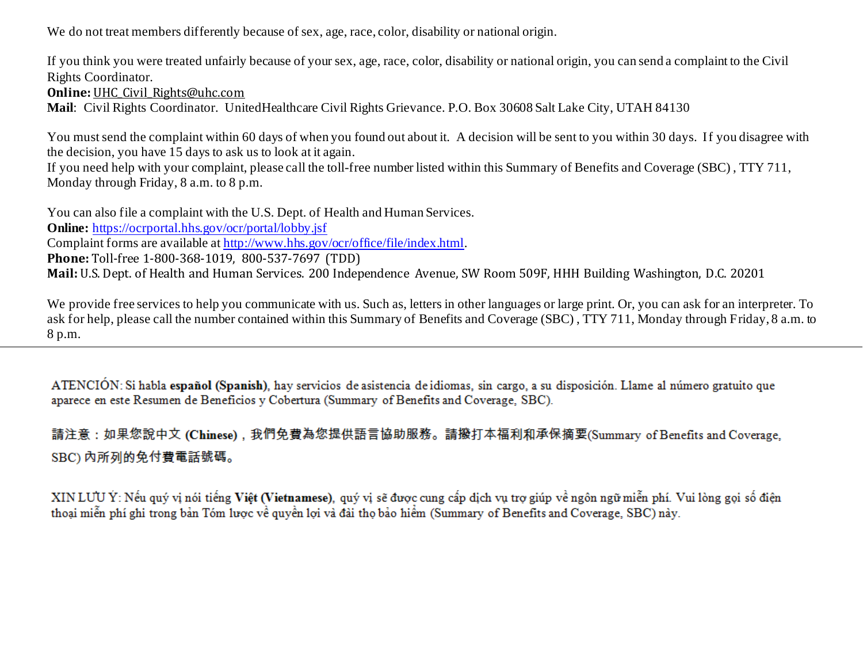We do not treat members differently because of sex, age, race, color, disability or national origin.

If you think you were treated unfairly because of your sex, age, race, color, disability or national origin, you can send a complaint to the Civil Rights Coordinator.

**Online: UHC Civil Rights@uhc.com** 

**Mail**: Civil Rights Coordinator. UnitedHealthcare Civil Rights Grievance. P.O. Box 30608 Salt Lake City, UTAH 84130

You must send the complaint within 60 days of when you found out about it. A decision will be sent to you within 30 days. If you disagree with the decision, you have 15 days to ask us to look at it again.

If you need help with your complaint, please call the toll-free number listed within this Summary of Benefits and Coverage (SBC) , TTY 711, Monday through Friday, 8 a.m. to 8 p.m.

You can also file a complaint with the U.S. Dept. of Health and Human Services. **Online:** <https://ocrportal.hhs.gov/ocr/portal/lobby.jsf> Complaint forms are available a[t http://www.hhs.gov/ocr/office/file/index.html](http://www.hhs.gov/ocr/office/file/index.html). **Phone:** Toll-free 1-800-368-1019, 800-537-7697 (TDD) **Mail:** U.S. Dept. of Health and Human Services. 200 Independence Avenue, SW Room 509F, HHH Building Washington, D.C. 20201

We provide free services to help you communicate with us. Such as, letters in other languages or large print. Or, you can ask for an interpreter. To ask for help, please call the number contained within this Summary of Benefits and Coverage (SBC) , TTY 711, Monday through Friday, 8 a.m. to 8 p.m.

ATENCIÓN: Si habla español (Spanish), hay servicios de asistencia de idiomas, sin cargo, a su disposición. Llame al número gratuito que aparece en este Resumen de Beneficios y Cobertura (Summary of Benefits and Coverage, SBC).

請注意:如果您說中文 (Chinese),我們免費為您提供語言協助服務。請撥打本福利和承保摘要(Summary of Benefits and Coverage, SBC) 内所列的免付費電話號碼。

XIN LƯU Ý: Nếu quý vị nói tiếng Việt (Vietnamese), quý vị sẽ được cung cấp dịch vụ trợ giúp về ngôn ngữ miễn phí. Vui lòng gọi số điện thoại miễn phí ghi trong bản Tóm lược về quyền lợi và đài thọ bảo hiểm (Summary of Benefits and Coverage, SBC) này.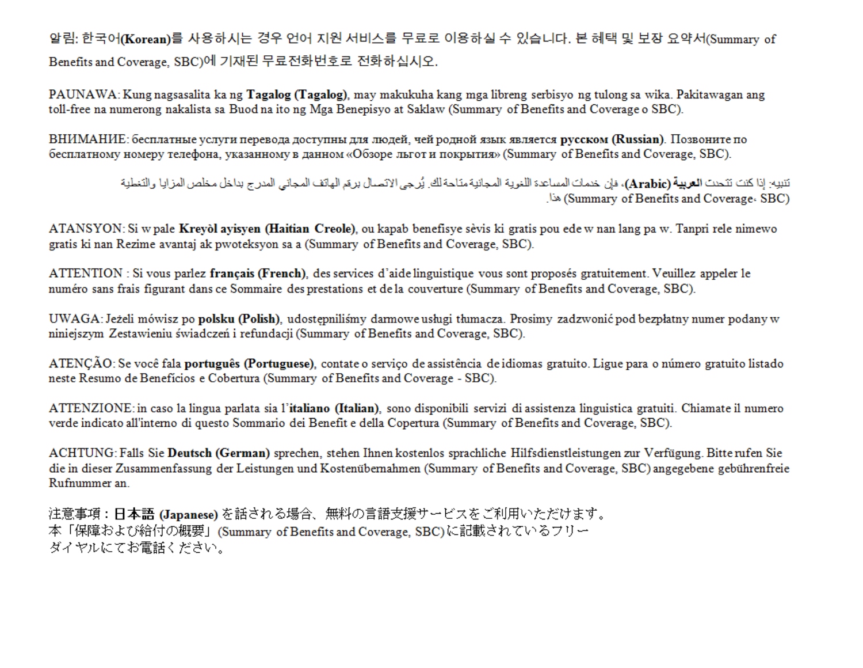알림: 한국어(Korean)를 사용하시는 경우 언어 지원 서비스를 무료로 이용하실 수 있습니다. 본 혜택 및 보장 요약서(Summary of Benefits and Coverage, SBC)에 기재된 무료전화번호로 전화하십시오.

PAUNAWA: Kung nagsasalita ka ng **Tagalog (Tagalog)**, may makukuha kang mga libreng serbisyo ng tulong sa wika. Pakitawagan ang toll-free na numerong nakalista sa Buod na ito ng Mga Benepisyo at Saklaw (Summary of Benefits and Coverage o SBC).

ВНИМАНИЕ: бесплатные услуги перевода доступны для людей, чей родной язык является русском (Russian). Позвоните по бесплатному номеру телефона, указанному в данном «Обзоре льгот и покрытия» (Summary of Benefits and Coverage, SBC).

> تنبيه: إذا كنت تتحدث ا**لعربية (Arabic)**، فإن خدمات المساعدة اللغوية المجانية متاحة لك. يُرجى الاتصال برهَم الهاتف المجاني المدرج بداخل مخلص المزايا والتغطية (Summary of Benefits and Coverage، SBC)

ATANSYON: Si w pale Kreyol ayisyen (Haitian Creole), ou kapab benefisye sèvis ki gratis pou ede w nan lang pa w. Tanpri rele nimewo gratis ki nan Rezime avantaj ak pwoteksyon sa a (Summary of Benefits and Coverage, SBC).

ATTENTION : Si vous parlez francais (French), des services d'aide linguistique vous sont proposés gratuitement. Veuillez appeler le numéro sans frais figurant dans ce Sommaire des prestations et de la couverture (Summary of Benefits and Coverage, SBC).

UWAGA: Jeżeli mówisz po polsku (Polish), udostępniliśmy darmowe usługi tłumacza. Prosimy zadzwonić pod bezpłatny numer podany w niniejszym Zestawieniu świadczeń i refundacji (Summary of Benefits and Coverage, SBC).

ATENCÃO: Se você fala português (Portuguese), contate o servico de assistência de idiomas gratuito. Ligue para o número gratuito listado neste Resumo de Benefícios e Cobertura (Summary of Benefits and Coverage - SBC).

ATTENZIONE: in caso la lingua parlata sia l'italiano (Italian), sono disponibili servizi di assistenza linguistica gratuiti. Chiamate il numero verde indicato all'interno di questo Sommario dei Benefit e della Copertura (Summary of Benefits and Coverage, SBC).

ACHTUNG: Falls Sie Deutsch (German) sprechen, stehen Ihnen kostenlos sprachliche Hilfsdienstleistungen zur Verfügung. Bitte rufen Sie die in dieser Zusammenfassung der Leistungen und Kostenübernahmen (Summary of Benefits and Coverage, SBC) angegebene gebührenfreie Rufnummer an.

注意事項:日本語 (Japanese)を話される場合、無料の言語支援サービスをご利用いただけます。 本「保障および給付の概要」(Summary of Benefits and Coverage, SBC)に記載されているフリー ダイヤルにてお電話ください。